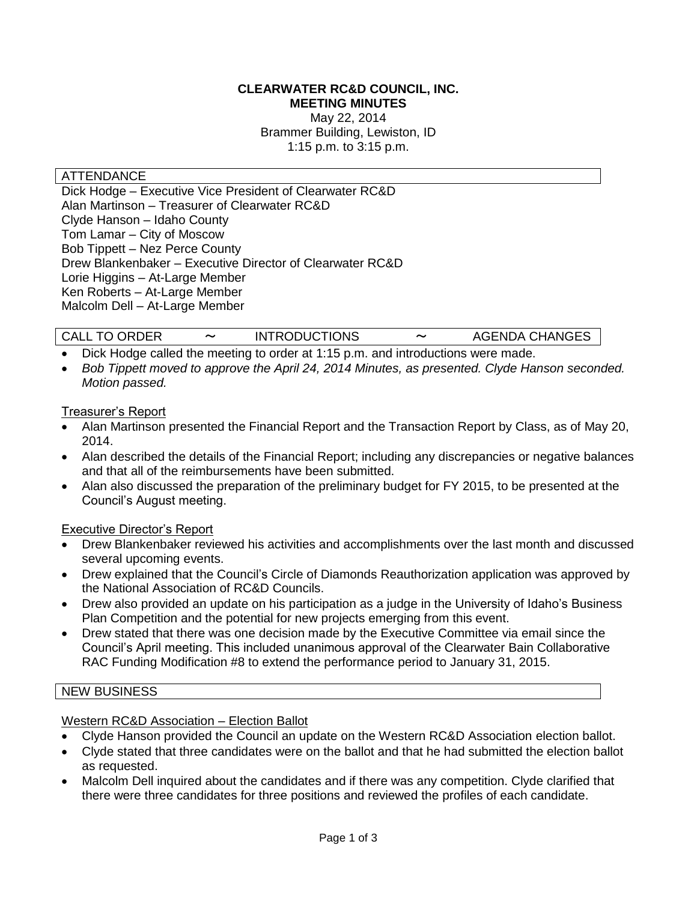### **CLEARWATER RC&D COUNCIL, INC. MEETING MINUTES**

May 22, 2014 Brammer Building, Lewiston, ID 1:15 p.m. to 3:15 p.m.

### ATTENDANCE

Dick Hodge – Executive Vice President of Clearwater RC&D Alan Martinson – Treasurer of Clearwater RC&D Clyde Hanson – Idaho County Tom Lamar – City of Moscow Bob Tippett – Nez Perce County Drew Blankenbaker – Executive Director of Clearwater RC&D Lorie Higgins – At-Large Member Ken Roberts – At-Large Member Malcolm Dell – At-Large Member

| <b>CALL TO ORDER</b> | <b>INTRODUCTIONS</b> | $\tilde{\phantom{a}}$ | <b>AGENDA CHANGES</b> |
|----------------------|----------------------|-----------------------|-----------------------|
|                      |                      |                       |                       |

- Dick Hodge called the meeting to order at 1:15 p.m. and introductions were made.
- *Bob Tippett moved to approve the April 24, 2014 Minutes, as presented. Clyde Hanson seconded. Motion passed.*

#### Treasurer's Report

- Alan Martinson presented the Financial Report and the Transaction Report by Class, as of May 20, 2014.
- Alan described the details of the Financial Report; including any discrepancies or negative balances and that all of the reimbursements have been submitted.
- Alan also discussed the preparation of the preliminary budget for FY 2015, to be presented at the Council's August meeting.

### Executive Director's Report

- Drew Blankenbaker reviewed his activities and accomplishments over the last month and discussed several upcoming events.
- Drew explained that the Council's Circle of Diamonds Reauthorization application was approved by the National Association of RC&D Councils.
- Drew also provided an update on his participation as a judge in the University of Idaho's Business Plan Competition and the potential for new projects emerging from this event.
- Drew stated that there was one decision made by the Executive Committee via email since the Council's April meeting. This included unanimous approval of the Clearwater Bain Collaborative RAC Funding Modification #8 to extend the performance period to January 31, 2015.

#### NEW BUSINESS

#### Western RC&D Association – Election Ballot

- Clyde Hanson provided the Council an update on the Western RC&D Association election ballot.
- Clyde stated that three candidates were on the ballot and that he had submitted the election ballot as requested.
- Malcolm Dell inquired about the candidates and if there was any competition. Clyde clarified that there were three candidates for three positions and reviewed the profiles of each candidate.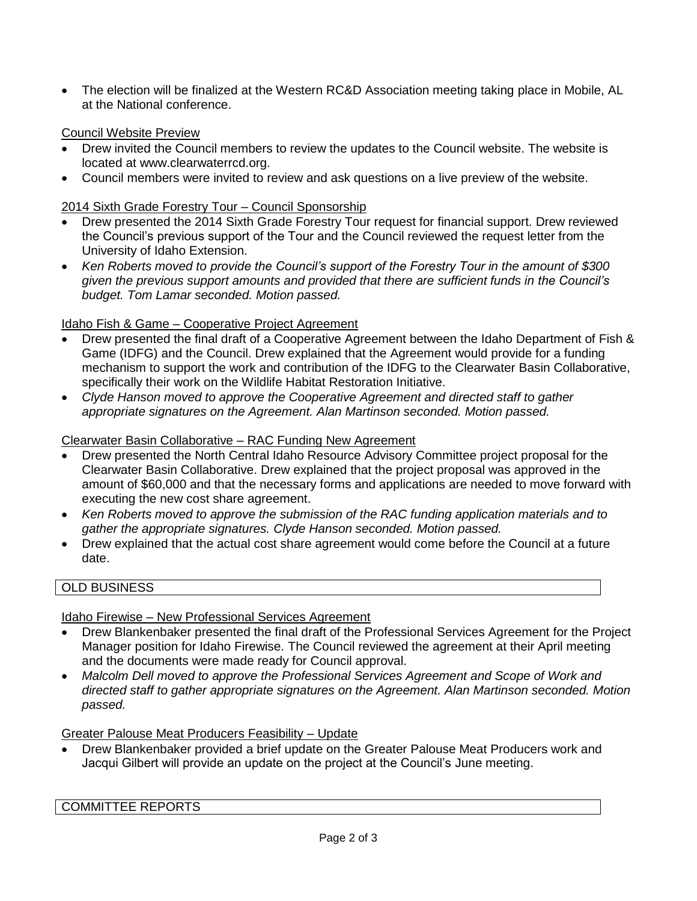The election will be finalized at the Western RC&D Association meeting taking place in Mobile, AL at the National conference.

### Council Website Preview

- Drew invited the Council members to review the updates to the Council website. The website is located at [www.clearwaterrcd.org.](http://www.clearwaterrcd.org/)
- Council members were invited to review and ask questions on a live preview of the website.

## 2014 Sixth Grade Forestry Tour – Council Sponsorship

- Drew presented the 2014 Sixth Grade Forestry Tour request for financial support. Drew reviewed the Council's previous support of the Tour and the Council reviewed the request letter from the University of Idaho Extension.
- *Ken Roberts moved to provide the Council's support of the Forestry Tour in the amount of \$300 given the previous support amounts and provided that there are sufficient funds in the Council's budget. Tom Lamar seconded. Motion passed.*

## Idaho Fish & Game – Cooperative Project Agreement

- Drew presented the final draft of a Cooperative Agreement between the Idaho Department of Fish & Game (IDFG) and the Council. Drew explained that the Agreement would provide for a funding mechanism to support the work and contribution of the IDFG to the Clearwater Basin Collaborative, specifically their work on the Wildlife Habitat Restoration Initiative.
- *Clyde Hanson moved to approve the Cooperative Agreement and directed staff to gather appropriate signatures on the Agreement. Alan Martinson seconded. Motion passed.*

### Clearwater Basin Collaborative – RAC Funding New Agreement

- Drew presented the North Central Idaho Resource Advisory Committee project proposal for the Clearwater Basin Collaborative. Drew explained that the project proposal was approved in the amount of \$60,000 and that the necessary forms and applications are needed to move forward with executing the new cost share agreement.
- *Ken Roberts moved to approve the submission of the RAC funding application materials and to gather the appropriate signatures. Clyde Hanson seconded. Motion passed.*
- Drew explained that the actual cost share agreement would come before the Council at a future date.

# OLD BUSINESS

Idaho Firewise – New Professional Services Agreement

- Drew Blankenbaker presented the final draft of the Professional Services Agreement for the Project Manager position for Idaho Firewise. The Council reviewed the agreement at their April meeting and the documents were made ready for Council approval.
- *Malcolm Dell moved to approve the Professional Services Agreement and Scope of Work and directed staff to gather appropriate signatures on the Agreement. Alan Martinson seconded. Motion passed.*

Greater Palouse Meat Producers Feasibility – Update

 Drew Blankenbaker provided a brief update on the Greater Palouse Meat Producers work and Jacqui Gilbert will provide an update on the project at the Council's June meeting.

COMMITTEE REPORTS